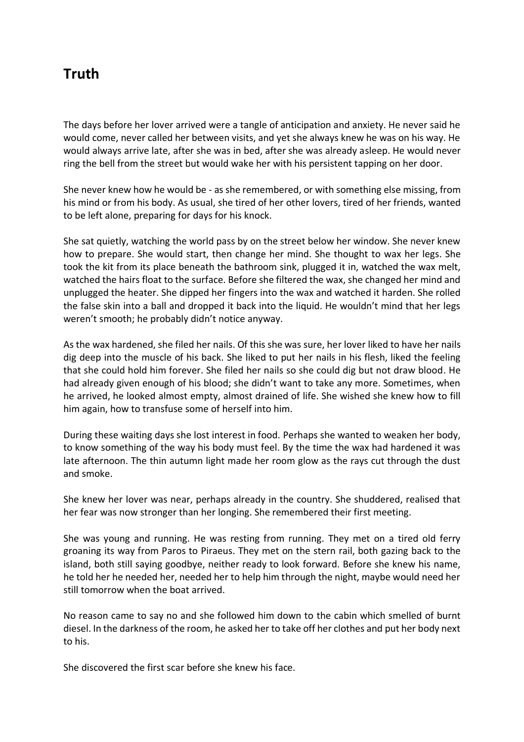## **Truth**

The days before her lover arrived were a tangle of anticipation and anxiety. He never said he would come, never called her between visits, and yet she always knew he was on his way. He would always arrive late, after she was in bed, after she was already asleep. He would never ring the bell from the street but would wake her with his persistent tapping on her door.

She never knew how he would be - as she remembered, or with something else missing, from his mind or from his body. As usual, she tired of her other lovers, tired of her friends, wanted to be left alone, preparing for days for his knock.

She sat quietly, watching the world pass by on the street below her window. She never knew how to prepare. She would start, then change her mind. She thought to wax her legs. She took the kit from its place beneath the bathroom sink, plugged it in, watched the wax melt, watched the hairs float to the surface. Before she filtered the wax, she changed her mind and unplugged the heater. She dipped her fingers into the wax and watched it harden. She rolled the false skin into a ball and dropped it back into the liquid. He wouldn't mind that her legs weren't smooth; he probably didn't notice anyway.

As the wax hardened, she filed her nails. Of this she was sure, her lover liked to have her nails dig deep into the muscle of his back. She liked to put her nails in his flesh, liked the feeling that she could hold him forever. She filed her nails so she could dig but not draw blood. He had already given enough of his blood; she didn't want to take any more. Sometimes, when he arrived, he looked almost empty, almost drained of life. She wished she knew how to fill him again, how to transfuse some of herself into him.

During these waiting days she lost interest in food. Perhaps she wanted to weaken her body, to know something of the way his body must feel. By the time the wax had hardened it was late afternoon. The thin autumn light made her room glow as the rays cut through the dust and smoke.

She knew her lover was near, perhaps already in the country. She shuddered, realised that her fear was now stronger than her longing. She remembered their first meeting.

She was young and running. He was resting from running. They met on a tired old ferry groaning its way from Paros to Piraeus. They met on the stern rail, both gazing back to the island, both still saying goodbye, neither ready to look forward. Before she knew his name, he told her he needed her, needed her to help him through the night, maybe would need her still tomorrow when the boat arrived.

No reason came to say no and she followed him down to the cabin which smelled of burnt diesel. In the darkness of the room, he asked her to take off her clothes and put her body next to his.

She discovered the first scar before she knew his face.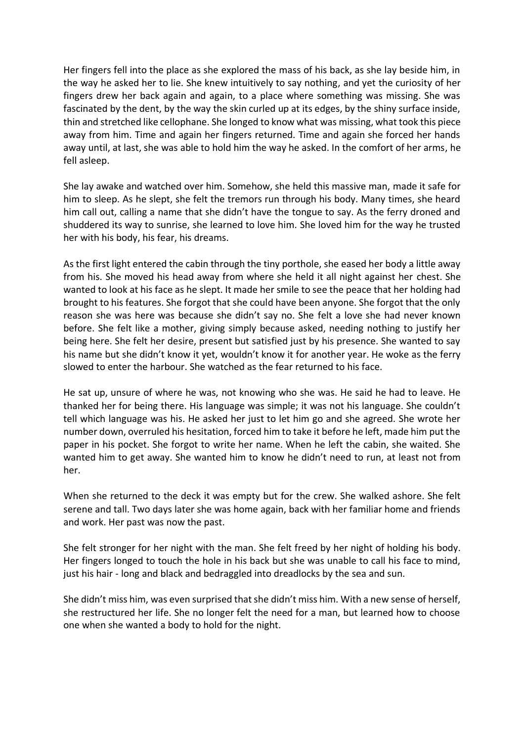Her fingers fell into the place as she explored the mass of his back, as she lay beside him, in the way he asked her to lie. She knew intuitively to say nothing, and yet the curiosity of her fingers drew her back again and again, to a place where something was missing. She was fascinated by the dent, by the way the skin curled up at its edges, by the shiny surface inside, thin and stretched like cellophane. She longed to know what was missing, what took this piece away from him. Time and again her fingers returned. Time and again she forced her hands away until, at last, she was able to hold him the way he asked. In the comfort of her arms, he fell asleep.

She lay awake and watched over him. Somehow, she held this massive man, made it safe for him to sleep. As he slept, she felt the tremors run through his body. Many times, she heard him call out, calling a name that she didn't have the tongue to say. As the ferry droned and shuddered its way to sunrise, she learned to love him. She loved him for the way he trusted her with his body, his fear, his dreams.

As the first light entered the cabin through the tiny porthole, she eased her body a little away from his. She moved his head away from where she held it all night against her chest. She wanted to look at his face as he slept. It made her smile to see the peace that her holding had brought to his features. She forgot that she could have been anyone. She forgot that the only reason she was here was because she didn't say no. She felt a love she had never known before. She felt like a mother, giving simply because asked, needing nothing to justify her being here. She felt her desire, present but satisfied just by his presence. She wanted to say his name but she didn't know it yet, wouldn't know it for another year. He woke as the ferry slowed to enter the harbour. She watched as the fear returned to his face.

He sat up, unsure of where he was, not knowing who she was. He said he had to leave. He thanked her for being there. His language was simple; it was not his language. She couldn't tell which language was his. He asked her just to let him go and she agreed. She wrote her number down, overruled his hesitation, forced him to take it before he left, made him put the paper in his pocket. She forgot to write her name. When he left the cabin, she waited. She wanted him to get away. She wanted him to know he didn't need to run, at least not from her.

When she returned to the deck it was empty but for the crew. She walked ashore. She felt serene and tall. Two days later she was home again, back with her familiar home and friends and work. Her past was now the past.

She felt stronger for her night with the man. She felt freed by her night of holding his body. Her fingers longed to touch the hole in his back but she was unable to call his face to mind, just his hair - long and black and bedraggled into dreadlocks by the sea and sun.

She didn't miss him, was even surprised that she didn't miss him. With a new sense of herself, she restructured her life. She no longer felt the need for a man, but learned how to choose one when she wanted a body to hold for the night.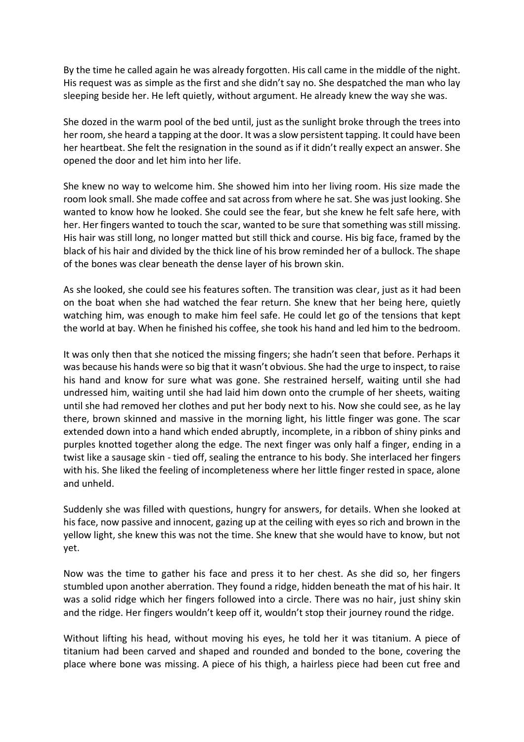By the time he called again he was already forgotten. His call came in the middle of the night. His request was as simple as the first and she didn't say no. She despatched the man who lay sleeping beside her. He left quietly, without argument. He already knew the way she was.

She dozed in the warm pool of the bed until, just as the sunlight broke through the trees into her room, she heard a tapping at the door. It was a slow persistent tapping. It could have been her heartbeat. She felt the resignation in the sound as if it didn't really expect an answer. She opened the door and let him into her life.

She knew no way to welcome him. She showed him into her living room. His size made the room look small. She made coffee and sat across from where he sat. She was just looking. She wanted to know how he looked. She could see the fear, but she knew he felt safe here, with her. Her fingers wanted to touch the scar, wanted to be sure that something was still missing. His hair was still long, no longer matted but still thick and course. His big face, framed by the black of his hair and divided by the thick line of his brow reminded her of a bullock. The shape of the bones was clear beneath the dense layer of his brown skin.

As she looked, she could see his features soften. The transition was clear, just as it had been on the boat when she had watched the fear return. She knew that her being here, quietly watching him, was enough to make him feel safe. He could let go of the tensions that kept the world at bay. When he finished his coffee, she took his hand and led him to the bedroom.

It was only then that she noticed the missing fingers; she hadn't seen that before. Perhaps it was because his hands were so big that it wasn't obvious. She had the urge to inspect, to raise his hand and know for sure what was gone. She restrained herself, waiting until she had undressed him, waiting until she had laid him down onto the crumple of her sheets, waiting until she had removed her clothes and put her body next to his. Now she could see, as he lay there, brown skinned and massive in the morning light, his little finger was gone. The scar extended down into a hand which ended abruptly, incomplete, in a ribbon of shiny pinks and purples knotted together along the edge. The next finger was only half a finger, ending in a twist like a sausage skin - tied off, sealing the entrance to his body. She interlaced her fingers with his. She liked the feeling of incompleteness where her little finger rested in space, alone and unheld.

Suddenly she was filled with questions, hungry for answers, for details. When she looked at his face, now passive and innocent, gazing up at the ceiling with eyes so rich and brown in the yellow light, she knew this was not the time. She knew that she would have to know, but not yet.

Now was the time to gather his face and press it to her chest. As she did so, her fingers stumbled upon another aberration. They found a ridge, hidden beneath the mat of his hair. It was a solid ridge which her fingers followed into a circle. There was no hair, just shiny skin and the ridge. Her fingers wouldn't keep off it, wouldn't stop their journey round the ridge.

Without lifting his head, without moving his eyes, he told her it was titanium. A piece of titanium had been carved and shaped and rounded and bonded to the bone, covering the place where bone was missing. A piece of his thigh, a hairless piece had been cut free and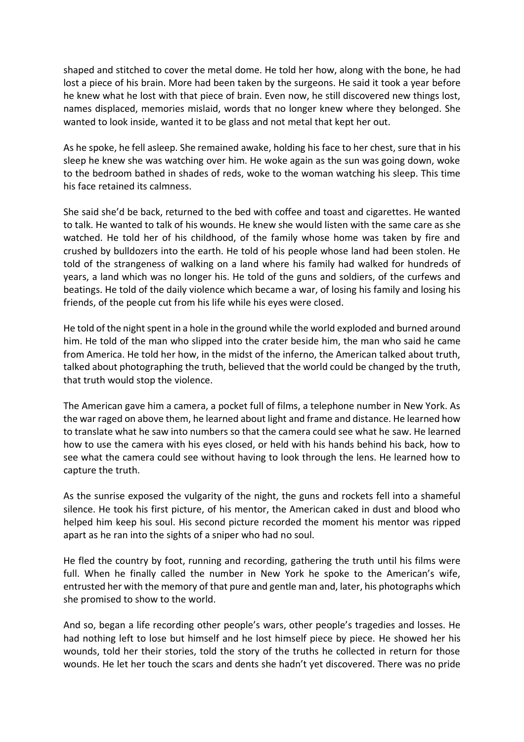shaped and stitched to cover the metal dome. He told her how, along with the bone, he had lost a piece of his brain. More had been taken by the surgeons. He said it took a year before he knew what he lost with that piece of brain. Even now, he still discovered new things lost, names displaced, memories mislaid, words that no longer knew where they belonged. She wanted to look inside, wanted it to be glass and not metal that kept her out.

As he spoke, he fell asleep. She remained awake, holding his face to her chest, sure that in his sleep he knew she was watching over him. He woke again as the sun was going down, woke to the bedroom bathed in shades of reds, woke to the woman watching his sleep. This time his face retained its calmness.

She said she'd be back, returned to the bed with coffee and toast and cigarettes. He wanted to talk. He wanted to talk of his wounds. He knew she would listen with the same care as she watched. He told her of his childhood, of the family whose home was taken by fire and crushed by bulldozers into the earth. He told of his people whose land had been stolen. He told of the strangeness of walking on a land where his family had walked for hundreds of years, a land which was no longer his. He told of the guns and soldiers, of the curfews and beatings. He told of the daily violence which became a war, of losing his family and losing his friends, of the people cut from his life while his eyes were closed.

He told of the night spent in a hole in the ground while the world exploded and burned around him. He told of the man who slipped into the crater beside him, the man who said he came from America. He told her how, in the midst of the inferno, the American talked about truth, talked about photographing the truth, believed that the world could be changed by the truth, that truth would stop the violence.

The American gave him a camera, a pocket full of films, a telephone number in New York. As the war raged on above them, he learned about light and frame and distance. He learned how to translate what he saw into numbers so that the camera could see what he saw. He learned how to use the camera with his eyes closed, or held with his hands behind his back, how to see what the camera could see without having to look through the lens. He learned how to capture the truth.

As the sunrise exposed the vulgarity of the night, the guns and rockets fell into a shameful silence. He took his first picture, of his mentor, the American caked in dust and blood who helped him keep his soul. His second picture recorded the moment his mentor was ripped apart as he ran into the sights of a sniper who had no soul.

He fled the country by foot, running and recording, gathering the truth until his films were full. When he finally called the number in New York he spoke to the American's wife, entrusted her with the memory of that pure and gentle man and, later, his photographs which she promised to show to the world.

And so, began a life recording other people's wars, other people's tragedies and losses. He had nothing left to lose but himself and he lost himself piece by piece. He showed her his wounds, told her their stories, told the story of the truths he collected in return for those wounds. He let her touch the scars and dents she hadn't yet discovered. There was no pride